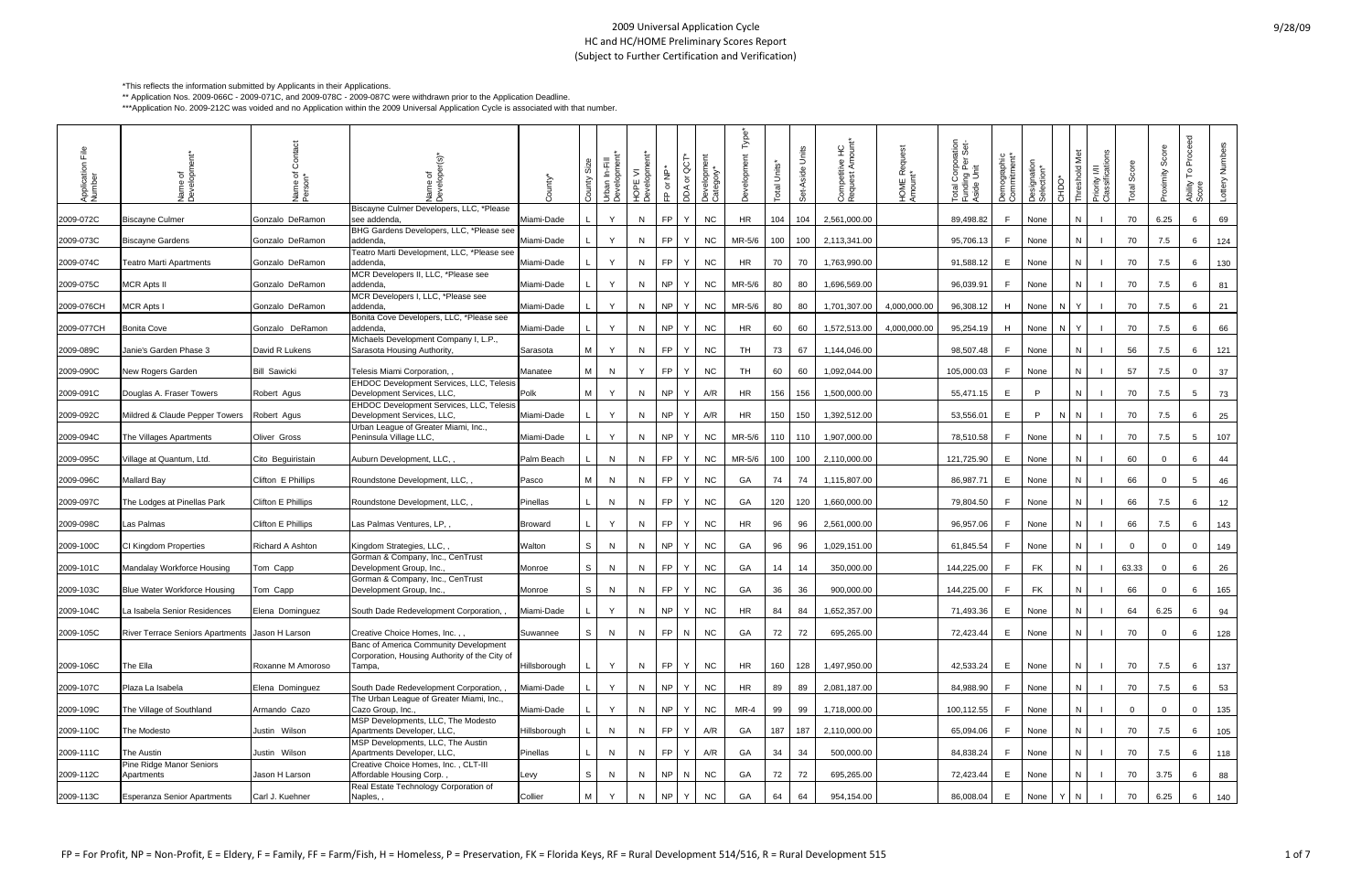| o |  | '0/0 | 19 |
|---|--|------|----|
|---|--|------|----|

\*This reflects the information submitted by Applicants in their Applications.

\*\* Application Nos. 2009-066C - 2009-071C, and 2009-078C - 2009-087C were withdrawn prior to the Application Deadline.

\*\*\*Application No. 2009-212C was voided and no Application within the 2009 Universal Application Cycle is associated with that number.

| $\frac{e}{L}$<br>Application<br>Number | ৳<br>Name<br>Develo                             | vame of                   | Name of<br>Developer(s)'                                                                         | ounty'         | Áu | Urban In-Fill<br>Development' | HOPE VI<br>Development' | 을<br>১<br>$\Omega$ | ō<br>DDA or | Development<br>Category* | Гуре      | Units*<br>ieto | Units<br>Set-Aside | Competitive HC<br>Request Amount* | HOME Request<br>Amount* | ation<br>Set-<br>Total Corpora<br>Funding Per :<br>Aside Unit | Demographic<br>Commitment* | Designation<br>Selection* | CHDO* |    | Priority I/II<br>Classificatio | otal Score     | Score<br>ytoximity | Proceed<br>۴<br>Ability<br>Score | ottery Number |
|----------------------------------------|-------------------------------------------------|---------------------------|--------------------------------------------------------------------------------------------------|----------------|----|-------------------------------|-------------------------|--------------------|-------------|--------------------------|-----------|----------------|--------------------|-----------------------------------|-------------------------|---------------------------------------------------------------|----------------------------|---------------------------|-------|----|--------------------------------|----------------|--------------------|----------------------------------|---------------|
| 2009-072C                              | <b>Biscayne Culmer</b>                          | Gonzalo DeRamon           | Biscayne Culmer Developers, LLC, *Please<br>see addenda,                                         | Miami-Dade     |    | Y                             | N                       | FP.                |             | NC                       | HR        | 104            | 104                | 2,561,000.00                      |                         | 89,498.82                                                     | F.                         | None                      |       |    |                                | 70             | 6.25               | 6                                | 69            |
| 2009-073C                              | <b>Biscayne Gardens</b>                         | Gonzalo DeRamon           | BHG Gardens Developers, LLC, *Please see<br>addenda                                              | Miami-Dade     |    | Y                             | N                       | FP.                |             | <b>NC</b>                | MR-5/6    | 100            | 100                | 2,113,341.00                      |                         | 95,706.13                                                     | F.                         | None                      |       |    |                                | 70             | 7.5                | 6                                | 124           |
| 2009-074C                              | Teatro Marti Apartments                         | Gonzalo DeRamon           | Teatro Marti Development, LLC, *Please see<br>addenda,                                           | Miami-Dade     |    | Y                             | N                       | FP                 |             | NC                       | HR        | 70             | 70                 | 1,763,990.00                      |                         | 91,588.12                                                     | E                          | None                      |       |    |                                | 70             | 7.5                | 6                                | 130           |
| 2009-075C                              | <b>MCR Apts II</b>                              | Gonzalo DeRamon           | MCR Developers II, LLC, *Please see<br>addenda                                                   | Miami-Dade     |    | Y                             | N                       | NP.                | Y           | <b>NC</b>                | MR-5/6    | 80             | 80                 | 1,696,569.00                      |                         | 96,039.91                                                     | F.                         | None                      |       | N. |                                | 70             | 7.5                | 6                                | 81            |
| 2009-076CH                             | <b>MCR Apts I</b>                               | Gonzalo DeRamon           | MCR Developers I, LLC, *Please see<br>addenda                                                    | Miami-Dade     |    | Y                             | N                       | NP.                | Y           | <b>NC</b>                | MR-5/6    | 80             | 80                 | 1,701,307.00                      | 4,000,000.00            | 96,308.12                                                     | H                          | None                      | N     |    |                                | 70             | 7.5                | 6                                | 21            |
| 2009-077CH                             | <b>Bonita Cove</b>                              | Gonzalo DeRamon           | Bonita Cove Developers, LLC, *Please see<br>addenda,                                             | Miami-Dade     |    | Y                             | N                       | NP.                | Y           | <b>NC</b>                | HR        | 60             | 60                 | 1,572,513.00                      | 4,000,000.00            | 95,254.19                                                     | H                          | None                      | N.    |    |                                | 70             | 7.5                | 6                                | 66            |
| 2009-089C                              | Janie's Garden Phase 3                          | David R Lukens            | Michaels Development Company I, L.P.,<br>Sarasota Housing Authority,                             | Sarasota       |    | Y                             | N                       | FP                 |             | <b>NC</b>                | TH        | 73             | 67                 | 1,144,046.00                      |                         | 98,507.48                                                     | -F.                        | None                      |       |    |                                | 56             | 7.5                | 6                                | 121           |
| 2009-090C                              | New Rogers Garden                               | <b>Bill Sawicki</b>       | Telesis Miami Corporation,,                                                                      | Manatee        | м  | N                             | Y                       | FP.                | Y           | <b>NC</b>                | TH        | 60             | 60                 | 1,092,044.00                      |                         | 105,000.03                                                    | F.                         | None                      |       | N  |                                | 57             | 7.5                | $\mathbf 0$                      | 37            |
| 2009-091C                              | Douglas A. Fraser Towers                        | Robert Agus               | EHDOC Development Services, LLC, Telesis<br>Development Services, LLC,                           | Polk           | M  | Y                             | N                       | NP                 | Y           | A/R                      | <b>HR</b> | 156            | 156                | 1,500,000.00                      |                         | 55,471.15                                                     | E                          | P                         |       |    |                                | 70             | 7.5                | $5\overline{)}$                  | 73            |
| 2009-092C                              | Mildred & Claude Pepper Towers                  | Robert Agus               | EHDOC Development Services, LLC, Telesis<br>Development Services, LLC,                           | Miami-Dade     |    | Y                             | N                       | NP                 | Y           | A/R                      | HR        | 150            | 150                | 1,392,512.00                      |                         | 53,556.01                                                     | E                          | P.                        | N I   | N. |                                | 70             | 7.5                | 6                                | 25            |
| 2009-094C                              | The Villages Apartments                         | Oliver Gross              | Urban League of Greater Miami, Inc.,<br>Peninsula Village LLC,                                   | Miami-Dade     |    | Y                             | N                       | NP                 | Y           | <b>NC</b>                | MR-5/6    | 110            | 110                | 1,907,000.00                      |                         | 78,510.58                                                     | F.                         | None                      |       |    |                                | 70             | 7.5                | $5\overline{5}$                  | 107           |
| 2009-095C                              | Village at Quantum, Ltd.                        | Cito Beguiristain         | Auburn Development, LLC,                                                                         | Palm Beach     |    | N                             | N                       | FP.                | Y           | <b>NC</b>                | MR-5/6    | 100            | 100                | 2,110,000.00                      |                         | 121,725.90                                                    | E                          | None                      |       | N  |                                | 60             | $\overline{0}$     | 6                                | 44            |
| 2009-096C                              | Mallard Bay                                     | Clifton E Phillips        | Roundstone Development, LLC,                                                                     | Pasco          | м  | N                             | N.                      | FP.                |             | <b>NC</b>                | GA        | 74             | 74                 | 1,115,807.00                      |                         | 86,987.71                                                     | E.                         | None                      |       |    |                                | 66             | $\overline{0}$     | $5^{\circ}$                      | 46            |
| 2009-097C                              | The Lodges at Pinellas Park                     | Clifton E Phillips        | Roundstone Development, LLC,                                                                     | Pinellas       |    | N                             | N                       | FP.                |             | <b>NC</b>                | GA        | 120            | 120                | 1,660,000.00                      |                         | 79,804.50                                                     | F.                         | None                      |       |    |                                | 66             | 7.5                | 6                                | 12            |
| 2009-098C                              | Las Palmas                                      | <b>Clifton E Phillips</b> | Las Palmas Ventures, LP,                                                                         | <b>Broward</b> |    | Y                             | N                       | FP                 |             | <b>NC</b>                | HR        | 96             | 96                 | 2,561,000.00                      |                         | 96,957.06                                                     | F.                         | None                      |       |    |                                | 66             | 7.5                | 6                                | 143           |
| 2009-100C                              | CI Kingdom Properties                           | <b>Richard A Ashton</b>   | Kingdom Strategies, LLC,                                                                         | Walton         | S  | N                             | N                       | NP.                | Y           | <b>NC</b>                | GA        | 96             | 96                 | 1,029,151.00                      |                         | 61,845.54                                                     | F.                         | None                      |       |    |                                | $\overline{0}$ | $\mathbf{0}$       | $\Omega$                         | 149           |
| 2009-101C                              | Mandalay Workforce Housing                      | Tom Capp                  | Gorman & Company, Inc., CenTrust<br>Development Group, Inc.,                                     | Monroe         | S  | N                             | N.                      | FP.                |             | NC.                      | GA        | 14             | 14                 | 350,000.00                        |                         | 144,225.00                                                    | F.                         | <b>FK</b>                 |       |    |                                | 63.33          | $\mathbf{0}$       | 6                                | 26            |
| 2009-103C                              | <b>Blue Water Workforce Housing</b>             | Tom Capp                  | Gorman & Company, Inc., CenTrust<br>Development Group, Inc.,                                     | Monroe         | S  | N                             | N.                      | FP                 |             | <b>NC</b>                | GA        | 36             | 36                 | 900,000.00                        |                         | 144,225.00                                                    | F.                         | <b>FK</b>                 |       |    |                                | 66             | $\mathbf{0}$       | 6                                | 165           |
| 2009-104C                              | La Isabela Senior Residences                    | Elena Dominguez           | South Dade Redevelopment Corporation,                                                            | Miami-Dade     |    | Y                             | N                       | NP                 | Y           | NC.                      | HR        | 84             | 84                 | 1,652,357.00                      |                         | 71,493.36                                                     | E.                         | None                      |       |    |                                | 64             | 6.25               | 6                                | 94            |
| 2009-105C                              | River Terrace Seniors Apartments Jason H Larson |                           | Creative Choice Homes, Inc.,,                                                                    | Suwannee       | S  | N                             | N                       | <b>FP</b>          | N           | <b>NC</b>                | GA        | 72             | 72                 | 695,265.00                        |                         | 72,423.44                                                     | E                          | None                      |       | N  |                                | 70             | $\mathbf 0$        | 6                                | 128           |
| 2009-106C                              | The Ella                                        | Roxanne M Amoroso         | Banc of America Community Development<br>Corporation, Housing Authority of the City of<br>Tampa, | Hillsborough   |    | Y                             | N                       | <b>FP</b>          | Y           | <b>NC</b>                | HR.       | 160            | 128                | 1,497,950.00                      |                         | 42,533.24                                                     | E                          | None                      |       | N. |                                | 70             | 7.5                | 6                                | 137           |
| 2009-107C                              | Plaza La Isabela                                | Elena Dominguez           | South Dade Redevelopment Corporation, ,                                                          | Miami-Dade     |    | Y                             | N                       | NP                 | Y           | <b>NC</b>                | HR        | 89             | 89                 | 2,081,187.00                      |                         | 84,988.90                                                     | F.                         | None                      |       | N  |                                | 70             | 7.5                | 6                                | 53            |
| 2009-109C                              | The Village of Southland                        | Armando Cazo              | The Urban League of Greater Miami, Inc.,<br>Cazo Group, Inc.,                                    | Miami-Dade     |    | Y                             | N                       | NP                 | Y           | <b>NC</b>                | MR-4      | 99             | 99                 | 1,718,000.00                      |                         | 100,112.55                                                    | -F.                        | None                      |       | N  |                                | $\overline{0}$ | $\overline{0}$     | $\overline{0}$                   | 135           |
| 2009-110C                              | The Modesto                                     | Justin Wilson             | MSP Developments, LLC, The Modesto<br>Apartments Developer, LLC,                                 | Hillsborough   |    | N                             | N                       | FP.                | Y           | A/R                      | GA        | 187            | 187                | 2,110,000.00                      |                         | 65,094.06                                                     | F.                         | None                      |       | N. |                                | 70             | 7.5                | 6                                | 105           |
| 2009-111C                              | The Austin                                      | Justin Wilson             | MSP Developments, LLC, The Austin<br>Apartments Developer, LLC,                                  | Pinellas       |    | N                             | N                       | <b>FP</b>          | Y           | A/R                      | GA        | 34             | 34                 | 500,000.00                        |                         | 84,838.24                                                     | F.                         | None                      |       |    |                                | 70             | 7.5                | 6                                | 118           |
| 2009-112C                              | Pine Ridge Manor Seniors<br>Apartments          | Jason H Larson            | Creative Choice Homes, Inc., CLT-III<br>Affordable Housing Corp.,                                | Levy           | S  | N                             | N                       | NP                 | N           | <b>NC</b>                | GA        | 72             | 72                 | 695,265.00                        |                         | 72,423.44                                                     | E                          | None                      |       | N. |                                | 70             | 3.75               | 6                                | 88            |
|                                        |                                                 |                           | Real Estate Technology Corporation of                                                            |                |    |                               |                         |                    |             |                          |           |                |                    |                                   |                         |                                                               |                            |                           |       |    |                                |                |                    |                                  |               |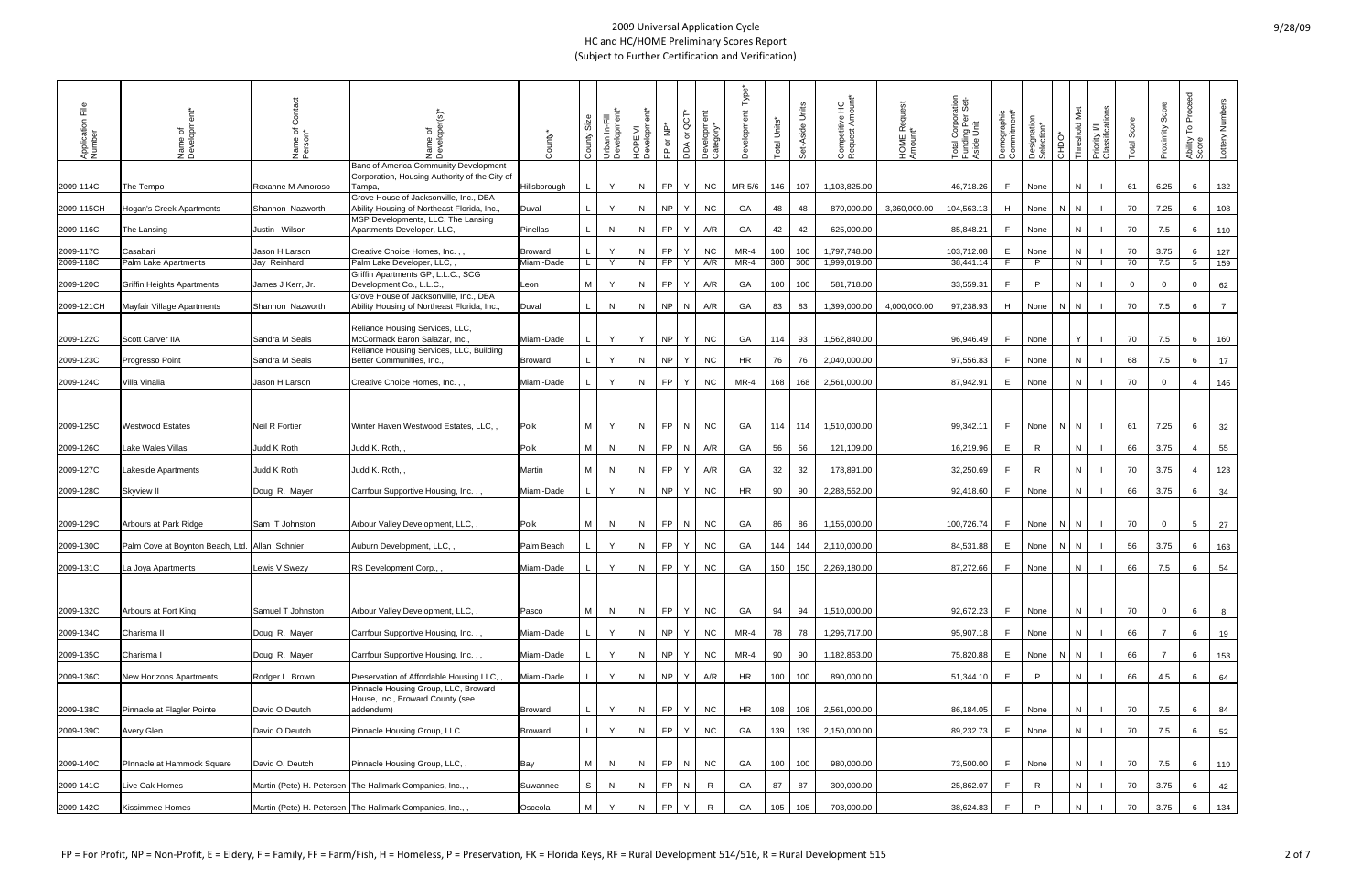## 9/28/09

| ΕÎ<br>Application<br>Number | Name of<br>Developme                           | රි<br>Name of<br>Person* | Developer(s)<br>৳                                                                                | ounty*          | Size<br>County | 로 호<br>Urban In-F<br>Developm | HOPE VI<br>Development* | FP or NP* | DDA or QCT | Development<br>Category* | Ĕ         | Total Units* | Set-Aside Units | Competitive HC<br>Request Amount* | HOME Request<br>Amount* | ration<br>Set-<br>Total Corpora<br>Funding Per S<br>Aside Unit | Demographic<br>Commitment* | Designation<br>Selection* | OCHC | <b>Journal</b> | Priority I/II<br>Classifications | Total Score  | Score<br>Proximity | Proceed<br>$\mathop{\mathsf{P}}\nolimits$<br>Ability<br>Score | Lottery Numbers |
|-----------------------------|------------------------------------------------|--------------------------|--------------------------------------------------------------------------------------------------|-----------------|----------------|-------------------------------|-------------------------|-----------|------------|--------------------------|-----------|--------------|-----------------|-----------------------------------|-------------------------|----------------------------------------------------------------|----------------------------|---------------------------|------|----------------|----------------------------------|--------------|--------------------|---------------------------------------------------------------|-----------------|
| 2009-114C                   | The Tempo                                      | Roxanne M Amoroso        | Banc of America Community Development<br>Corporation, Housing Authority of the City of<br>Tampa, | Hillsborough    |                | Y                             | N                       | <b>FP</b> | Y          | <b>NC</b>                | $MR-5/6$  | 146          | 107             | 1,103,825.00                      |                         | 46,718.26                                                      | F.                         | None                      |      | N              |                                  | 61           | 6.25               | 6                                                             | 132             |
| 2009-115CH                  | Hogan's Creek Apartments                       | Shannon Nazworth         | Grove House of Jacksonville, Inc., DBA<br>Ability Housing of Northeast Florida, Inc.,            | Duval           |                | Y                             | N                       | NP        | Y          | <b>NC</b>                | GA        | 48           | 48              | 870,000.00                        | 3,360,000.00            | 104,563.13                                                     | H                          | None                      |      | N.             |                                  | 70           | 7.25               | 6                                                             | 108             |
| 2009-116C                   | The Lansing                                    | Justin Wilson            | MSP Developments, LLC, The Lansing<br>Apartments Developer, LLC,                                 | <b>Pinellas</b> |                | N                             | N                       | FP.       | Y          | A/R                      | GA        | 42           | 42              | 625,000.00                        |                         | 85,848.21                                                      | F.                         | None                      |      | N              |                                  | 70           | 7.5                | 6                                                             | 110             |
| 2009-117C                   | Casabari                                       | Jason H Larson           | Creative Choice Homes, Inc.,                                                                     | <b>Broward</b>  |                | Y                             | N                       | <b>FP</b> | Y          | <b>NC</b>                | MR-4      | 100          | 100             | 1,797,748.00                      |                         | 103,712.08                                                     | E                          | None                      |      | N              |                                  | 70           | 3.75               | 6                                                             | 127             |
| 2009-118C                   | Palm Lake Apartments                           | Jay Reinhard             | Palm Lake Developer, LLC,                                                                        | Miami-Dade      |                | Y                             | N                       | FP.       | Y          | A/R                      | MR-4      | 300          | 300             | 1,999,019.00                      |                         | 38,441.14                                                      | F.                         | $\mathsf{P}$              |      | N              |                                  | 70           | 7.5                | 5 <sup>5</sup>                                                | 159             |
| 2009-120C                   | <b>Griffin Heights Apartments</b>              | James J Kerr, Jr.        | Griffin Apartments GP, L.L.C., SCG<br>Development Co., L.L.C.                                    | Leon            | M              | Y                             | N                       | FP.       | Y          | A/R                      | GA        | 100          | 100             | 581,718.00                        |                         | 33,559.31                                                      | F                          | P                         |      |                |                                  | $\mathbf{0}$ | $\overline{0}$     | $\mathbf{0}$                                                  | 62              |
| 2009-121CH                  | Mayfair Village Apartments                     | Shannon Nazworth         | Grove House of Jacksonville, Inc., DBA<br>Ability Housing of Northeast Florida, Inc.,            | Duval           |                | N                             | N                       | <b>NP</b> | N          | A/R                      | GA        | 83           | 83              | 1,399,000.00                      | 4,000,000.00            | 97,238.93                                                      | H                          | None                      |      | N <sub>1</sub> |                                  | 70           | 7.5                | 6                                                             | $\overline{7}$  |
| 2009-122C                   | <b>Scott Carver IIA</b>                        | Sandra M Seals           | Reliance Housing Services, LLC,<br>McCormack Baron Salazar, Inc.,                                | Miami-Dade      |                | Y                             | Y                       | NP        | Y          | <b>NC</b>                | GA        | 114          | 93              | 1,562,840.00                      |                         | 96,946.49                                                      | F.                         | None                      |      |                |                                  | 70           | 7.5                | 6                                                             | 160             |
| 2009-123C                   | Progresso Point                                | Sandra M Seals           | Reliance Housing Services, LLC, Building<br>Better Communities, Inc.,                            | <b>Broward</b>  |                | Y                             | N                       | NP        | Y          | <b>NC</b>                | HR        | 76           | 76              | 2,040,000.00                      |                         | 97,556.83                                                      | F.                         | None                      |      | N              |                                  | 68           | 7.5                | 6                                                             | 17              |
| 2009-124C                   | Villa Vinalia                                  | Jason H Larson           | Creative Choice Homes, Inc.,                                                                     | Miami-Dade      |                | Y                             | N                       | FP        | Y          | <b>NC</b>                | MR-4      | 168          | 168             | 2,561,000.00                      |                         | 87,942.91                                                      | E                          | None                      |      | N              |                                  | 70           | $\overline{0}$     | $\overline{4}$                                                | 146             |
|                             |                                                |                          |                                                                                                  |                 |                |                               |                         |           |            |                          |           |              |                 |                                   |                         |                                                                |                            |                           |      |                |                                  |              |                    |                                                               |                 |
| 2009-125C                   | <b>Westwood Estates</b>                        | Neil R Fortier           | Winter Haven Westwood Estates, LLC,                                                              | Polk            | M              | Y                             | N                       | FP        | N          | NC                       | GA        |              | 114 114         | 1,510,000.00                      |                         | 99,342.11                                                      | F.                         | None                      | N.   | IN.            |                                  | 61           | 7.25               | 6                                                             | 32              |
| 2009-126C                   | Lake Wales Villas                              | Judd K Roth              | Judd K. Roth,                                                                                    | Polk            | M I            | N                             | N                       | <b>FP</b> | N          | A/R                      | GA        | 56           | 56              | 121,109.00                        |                         | 16,219.96                                                      | E                          | R                         |      | N              |                                  | 66           | 3.75               | $\overline{4}$                                                | 55              |
| 2009-127C                   | Lakeside Apartments                            | Judd K Roth              | Judd K. Roth,                                                                                    | Martin          | M              | N                             | N                       | <b>FP</b> | Y          | A/R                      | GA        | 32           | 32              | 178,891.00                        |                         | 32,250.69                                                      | F                          | R                         |      | N              |                                  | 70           | 3.75               | $\overline{4}$                                                | 123             |
| 2009-128C                   | Skyview II                                     | Doug R. Mayer            | Carrfour Supportive Housing, Inc.,,                                                              | Miami-Dade      |                | Y                             | N                       | <b>NP</b> | Y          | <b>NC</b>                | <b>HR</b> | 90           | 90              | 2,288,552.00                      |                         | 92,418.60                                                      | F.                         | None                      |      | N              |                                  | 66           | 3.75               | 6                                                             | 34              |
| 2009-129C                   | Arbours at Park Ridge                          | Sam T Johnston           | Arbour Valley Development, LLC,,                                                                 | Polk            | M              | N                             | N                       | <b>FP</b> | N          | <b>NC</b>                | GA        | 86           | 86              | 1,155,000.00                      |                         | 100,726.74                                                     | F.                         | None                      | N    | IN.            |                                  | 70           | $\overline{0}$     | 5 <sup>5</sup>                                                | 27              |
| 2009-130C                   | Palm Cove at Boynton Beach, Ltd. Allan Schnier |                          | Auburn Development, LLC,                                                                         | Palm Beach      |                | Y                             | N                       | FP.       | Υ          | NC                       | GA        | 144          | 144             | 2,110,000.00                      |                         | 84,531.88                                                      | E                          | None                      |      | IN.            |                                  | 56           | 3.75               | 6                                                             | 163             |
| 2009-131C                   | La Joya Apartments                             | Lewis V Swezy            | RS Development Corp.,,                                                                           | Miami-Dade      |                | Y                             | N                       | <b>FP</b> | Y          | NC                       | GA        | 150          | 150             | 2,269,180.00                      |                         | 87,272.66                                                      | F.                         | None                      |      | N.             |                                  | 66           | 7.5                | 6                                                             | 54              |
|                             |                                                |                          |                                                                                                  |                 |                |                               |                         | <b>FP</b> | Y.         |                          |           |              |                 |                                   |                         |                                                                |                            |                           |      |                |                                  |              |                    |                                                               |                 |
| 2009-132C                   | Arbours at Fort King                           | Samuel T Johnston        | Arbour Valley Development, LLC,,                                                                 | Pasco           | М              | N                             | N                       |           |            | <b>NC</b>                | GA        | 94           | 94              | 1,510,000.00                      |                         | 92,672.23                                                      | F.                         | None                      |      | N              |                                  | 70           | $\overline{0}$     | 6                                                             | 8               |
| 2009-134C                   | Charisma II                                    | Doug R. Mayer            | Carrfour Supportive Housing, Inc.,,                                                              | Miami-Dade      |                | Y                             | N                       | NP        | Y          | <b>NC</b>                | $MR-4$    | 78           | 78              | 1,296,717.00                      |                         | 95,907.18                                                      | F.                         | None                      |      |                |                                  | 66           |                    | 6                                                             | 19              |
| 2009-135C                   | Charisma I                                     | Doug R. Mayer            | Carrfour Supportive Housing, Inc.,,                                                              | Miami-Dade      |                | Y                             | N                       | NP        | Y          | <b>NC</b>                | $MR-4$    | 90           | 90              | 1,182,853.00                      |                         | 75,820.88                                                      | E.                         | None                      |      | N              |                                  | 66           | $\overline{7}$     | 6                                                             | 153             |
| 2009-136C                   | <b>New Horizons Apartments</b>                 | Rodger L. Brown          | Preservation of Affordable Housing LLC,<br>Pinnacle Housing Group, LLC, Broward                  | Miami-Dade      |                | Y                             | N                       | NP        | Y          | A/R                      | HR        | 100          | 100             | 890,000.00                        |                         | 51,344.10                                                      | E                          | P.                        |      |                |                                  | 66           | 4.5                | 6                                                             | 64              |
| 2009-138C                   | Pinnacle at Flagler Pointe                     | David O Deutch           | House, Inc., Broward County (see<br>addendum)                                                    | <b>Broward</b>  |                | Y                             | N                       | FP        | Y          | <b>NC</b>                | HR        |              | 108 108         | 2,561,000.00                      |                         | 86,184.05                                                      | F                          | None                      |      | N              |                                  | 70           | 7.5                | 6                                                             | 84              |
| 2009-139C                   | Avery Glen                                     | David O Deutch           | Pinnacle Housing Group, LLC                                                                      | <b>Broward</b>  |                | Y                             | N                       | FP        | Y.         | <b>NC</b>                | GA        | 139          | 139             | 2,150,000.00                      |                         | 89,232.73                                                      | F                          | None                      |      |                |                                  | 70           | 7.5                | 6                                                             | 52              |
| 2009-140C                   | PInnacle at Hammock Square                     | David O. Deutch          | Pinnacle Housing Group, LLC,,                                                                    | Bay             | M              | N                             | N                       | FP        | N          | <b>NC</b>                | GA        | 100          | 100             | 980,000.00                        |                         | 73,500.00                                                      | F.                         | None                      |      | N              |                                  | 70           | 7.5                | 6                                                             | 119             |
| 2009-141C                   | Live Oak Homes                                 |                          | Martin (Pete) H. Petersen The Hallmark Companies, Inc.,,                                         | Suwannee        | S              | N                             | N                       | <b>FP</b> | N          | R                        | GA        | 87           | 87              | 300,000.00                        |                         | 25,862.07                                                      | F                          | $\mathsf{R}$              |      |                |                                  | 70           | 3.75               | 6                                                             | 42              |
| 2009-142C                   | Kissimmee Homes                                |                          | Martin (Pete) H. Petersen The Hallmark Companies, Inc.,,                                         | Osceola         | M              | Y                             | N                       | <b>FP</b> | Y.         | R                        | GA        | 105          | 105             | 703,000.00                        |                         | 38,624.83                                                      | F.                         | P                         |      |                |                                  | 70           | 3.75               | 6                                                             | 134             |
|                             |                                                |                          |                                                                                                  |                 |                |                               |                         |           |            |                          |           |              |                 |                                   |                         |                                                                |                            |                           |      |                |                                  |              |                    |                                                               |                 |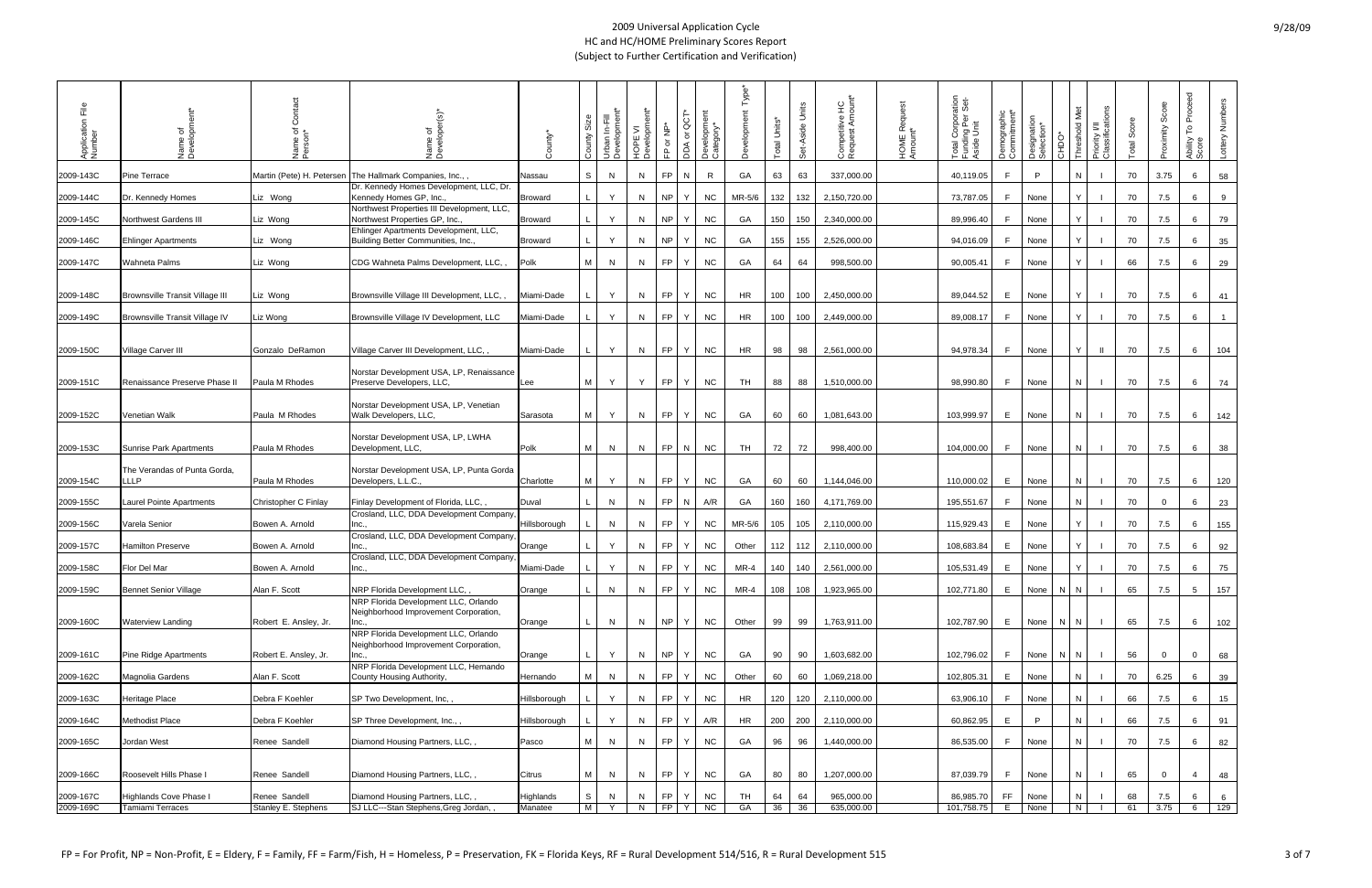| ΕĒ<br>Application<br>Number | Name of<br>Development                 | Name of<br>Person <sup>*</sup> | ৳<br>Name<br>Develo                                                           | County*        | Size<br>County          | Urban In-Fill<br>Development* | HOPE VI<br>Development* | FP or NP* | မွ<br>DDA or | Development<br>Category* | Type <sup>*</sup> | Total Units* | Set-Aside Units | Competitive HC<br>Request Amount* | HOME Request<br>Amount* | ation<br>Set-<br>Total Corpora<br>Funding Per :<br>Aside Unit | Demographic<br>Commitment* | Designation<br>Selection* | CHDO    | Priority I/II<br>Classifications<br>l ©<br>Met<br>old | Total Score | Score<br>Proximity | Proceed<br>P<br>Ability<br>Score | Lottery Numbers |
|-----------------------------|----------------------------------------|--------------------------------|-------------------------------------------------------------------------------|----------------|-------------------------|-------------------------------|-------------------------|-----------|--------------|--------------------------|-------------------|--------------|-----------------|-----------------------------------|-------------------------|---------------------------------------------------------------|----------------------------|---------------------------|---------|-------------------------------------------------------|-------------|--------------------|----------------------------------|-----------------|
| 2009-143C                   | Pine Terrace                           | Martin (Pete) H. Petersen      | The Hallmark Companies, Inc.,                                                 | Nassau         | S                       | N                             | N                       | <b>FP</b> | N            | R                        | GA                | 63           | 63              | 337,000.00                        |                         | 40,119.05                                                     | F                          | P                         |         |                                                       | 70          | 3.75               | 6                                | 58              |
| 2009-144C                   | Dr. Kennedy Homes                      | Liz Wong                       | Dr. Kennedy Homes Development, LLC, Dr.<br>Kennedy Homes GP, Inc.,            | <b>Broward</b> |                         | Y                             | N.                      | NP        | v            | <b>NC</b>                | MR-5/6            | 132          | 132             | 2,150,720.00                      |                         | 73,787.05                                                     | F.                         | None                      |         |                                                       | 70          | 7.5                | 6                                | 9               |
| 2009-145C                   | Northwest Gardens III                  | Liz Wong                       | Northwest Properties III Development, LLC,<br>Northwest Properties GP, Inc.,  | <b>Broward</b> |                         | Y                             | N                       | <b>NP</b> | Y            | <b>NC</b>                | GA                | 150          | 150             | 2,340,000.00                      |                         | 89,996.40                                                     | F.                         | None                      |         |                                                       | 70          | 7.5                | 6                                | 79              |
| 2009-146C                   | <b>Ehlinger Apartments</b>             | Liz Wong                       | Ehlinger Apartments Development, LLC,<br>Building Better Communities, Inc.,   | <b>Broward</b> |                         | Y                             | N                       | <b>NP</b> | Y            | <b>NC</b>                | GA                | 155          | 155             | 2,526,000.00                      |                         | 94,016.09                                                     | F                          | None                      |         |                                                       | 70          | 7.5                | 6                                | 35              |
| 2009-147C                   | Wahneta Palms                          | Liz Wong                       | CDG Wahneta Palms Development, LLC,,                                          | Polk           | M                       | N                             | N.                      | FP.       | Y            | <b>NC</b>                | GA                | 64           | 64              | 998,500.00                        |                         | 90,005.41                                                     | F.                         | None                      |         |                                                       | 66          | 7.5                | 6                                | 29              |
| 2009-148C                   | <b>Brownsville Transit Village III</b> | Liz Wong                       | Brownsville Village III Development, LLC,                                     | Miami-Dade     |                         | Y                             | N                       | FP        | Y            | <b>NC</b>                | HR                | 100          | 100             | 2,450,000.00                      |                         | 89,044.52                                                     | E                          | None                      |         |                                                       | 70          | 7.5                | 6                                | 41              |
| 2009-149C                   | Brownsville Transit Village IV         | Liz Wong                       | Brownsville Village IV Development, LLC                                       | Miami-Dade     |                         | Y                             | N.                      | FP.       | Y            | <b>NC</b>                | HR                | 100          | 100             | 2,449,000.00                      |                         | 89,008.17                                                     | F.                         | None                      |         |                                                       | 70          | 7.5                | 6                                | $\overline{1}$  |
| 2009-150C                   | Village Carver III                     | Gonzalo DeRamon                | Village Carver III Development, LLC,,                                         | Miami-Dade     |                         | Y                             | N                       | FP        | Y            | <b>NC</b>                | HR                | 98           | 98              | 2,561,000.00                      |                         | 94,978.34                                                     | F.                         | None                      |         | - II<br>Y                                             | 70          | 7.5                | 6                                | 104             |
| 2009-151C                   | Renaissance Preserve Phase II          | Paula M Rhodes                 | Norstar Development USA, LP, Renaissance<br>Preserve Developers, LLC,         | Lee            | M I                     | Y                             | Y                       | FP        | Y            | <b>NC</b>                | TH                | 88           | 88              | 1,510,000.00                      |                         | 98,990.80                                                     | F.                         | None                      |         | N.                                                    | 70          | 7.5                | 6                                | 74              |
| 2009-152C                   | Venetian Walk                          | Paula M Rhodes                 | Norstar Development USA, LP, Venetian<br>Walk Developers, LLC,                | Sarasota       | M                       | Y                             | N                       | <b>FP</b> | Y            | <b>NC</b>                | GA                | 60           | 60              | 1,081,643.00                      |                         | 103,999.97                                                    | E.                         | None                      |         | N                                                     | 70          | 7.5                | 6                                | 142             |
| 2009-153C                   | <b>Sunrise Park Apartments</b>         | Paula M Rhodes                 | Norstar Development USA, LP, LWHA<br>Development, LLC,                        | Polk           | M I                     | N                             | N                       | <b>FP</b> | N            | <b>NC</b>                | TH                | 72           | 72              | 998,400.00                        |                         | 104,000.00                                                    | F                          | None                      |         | N                                                     | 70          | 7.5                | 6                                | 38              |
| 2009-154C                   | The Verandas of Punta Gorda,<br>LLP.   | Paula M Rhodes                 | Norstar Development USA, LP, Punta Gorda<br>Developers, L.L.C.,               | Charlotte      | M                       | Y                             | N                       | FP        | Y            | <b>NC</b>                | GA                | 60           | 60              | 1,144,046.00                      |                         | 110,000.02                                                    | E.                         | None                      |         |                                                       | 70          | 7.5                | 6                                | 120             |
| 2009-155C                   | Laurel Pointe Apartments               | Christopher C Finlay           | Finlay Development of Florida, LLC,                                           | Duval          |                         | N                             | N                       | <b>FP</b> | N            | A/R                      | GA                | 160          | 160             | 4,171,769.00                      |                         | 195,551.67                                                    | F.                         | None                      |         | N                                                     | 70          | $\overline{0}$     | 6                                | 23              |
| 2009-156C                   | Varela Senior                          | Bowen A. Arnold                | Crosland, LLC, DDA Development Company,<br>Inc.,                              | Hillsborough   |                         | N                             | N                       | FP.       | Y            | <b>NC</b>                | MR-5/6            | 105          | 105             | 2,110,000.00                      |                         | 115,929.43                                                    | E                          | None                      |         |                                                       | 70          | 7.5                | 6                                | 155             |
| 2009-157C                   | Hamilton Preserve                      | Bowen A. Arnold                | Crosland, LLC, DDA Development Company,<br>Inc.,                              | Orange         |                         | Y                             | N                       | FP.       | Y            | <b>NC</b>                | Other             |              | 112 112         | 2,110,000.00                      |                         | 108,683.84                                                    | E                          | None                      |         |                                                       | 70          | 7.5                | 6                                | 92              |
| 2009-158C                   | Flor Del Mar                           | Bowen A. Arnold                | Crosland, LLC, DDA Development Company,<br>Inc                                | Miami-Dade     |                         | Y                             | N                       | <b>FP</b> | Y            | <b>NC</b>                | MR-4              |              | 140 140         | 2,561,000.00                      |                         | 105,531.49                                                    | E                          | None                      |         |                                                       | 70          | 7.5                | 6                                | 75              |
| 2009-159C                   | <b>Bennet Senior Village</b>           | Alan F. Scott                  | NRP Florida Development LLC,                                                  | Orange         | L                       | N                             | ${\sf N}$               | FP        | Y            | <b>NC</b>                | $MR-4$            | 108          | 108             | 1,923,965.00                      |                         | 102,771.80                                                    | E                          | None                      | $N$ $N$ |                                                       | 65          | 7.5                | $5\overline{)}$                  | 157             |
| 2009-160C                   | <b>Waterview Landing</b>               | Robert E. Ansley, Jr.          | NRP Florida Development LLC, Orlando<br>Neighborhood Improvement Corporation, | Orange         |                         | N                             | N                       | NP        | Y            | <b>NC</b>                | Other             | 99           | 99              | 1,763,911.00                      |                         | 102,787.90                                                    | E                          | None                      | N.      | IN.                                                   | 65          | 7.5                | 6                                |                 |
|                             |                                        |                                | NRP Florida Development LLC, Orlando                                          |                |                         |                               |                         |           |              |                          |                   |              |                 |                                   |                         |                                                               |                            |                           |         |                                                       |             |                    |                                  | 102             |
| 2009-161C                   | <b>Pine Ridge Apartments</b>           | Robert E. Ansley, Jr.          | Neighborhood Improvement Corporation,<br>Inc                                  | Orange         |                         | Y                             | N                       | NP        | Y            | <b>NC</b>                | GA                | 90           | 90              | 1,603,682.00                      |                         | 102,796.02                                                    | F                          | None                      | NIN     |                                                       | 56          | $\overline{0}$     | $\mathbf{0}$                     | 68              |
| 2009-162C                   | <b>Magnolia Gardens</b>                | Alan F. Scott                  | NRP Florida Development LLC, Hernando<br>County Housing Authority,            | Hernando       | M I                     | N                             | N                       | FP.       | Y            | <b>NC</b>                | Other             | 60           | 60              | 1,069,218.00                      |                         | 102,805.31                                                    | E                          | None                      |         |                                                       | 70          | 6.25               | 6                                | 39              |
| 2009-163C                   | Heritage Place                         | Debra F Koehler                | SP Two Development, Inc,,                                                     | Hillsborough   |                         | Y                             | N                       | <b>FP</b> | Y            | <b>NC</b>                | HR                | 120          | 120             | 2,110,000.00                      |                         | 63,906.10                                                     | F                          | None                      |         | N                                                     | 66          | 7.5                | 6                                | 15              |
| 2009-164C                   | <b>Methodist Place</b>                 | Debra F Koehler                | SP Three Development, Inc.,,                                                  | Hillsborough   |                         | Y                             | N                       | FP.       | Y            | A/R                      | HR                |              | 200 200         | 2,110,000.00                      |                         | 60,862.95                                                     | E.                         | P                         |         |                                                       | 66          | 7.5                | 6                                | 91              |
| 2009-165C                   | Jordan West                            | Renee Sandell                  | Diamond Housing Partners, LLC,,                                               | Pasco          | M I                     | N                             | N                       | <b>FP</b> | Y            | <b>NC</b>                | GA                | 96           | 96              | 1,440,000.00                      |                         | 86,535.00                                                     | F.                         | None                      |         |                                                       | 70          | 7.5                | 6                                | 82              |
| 2009-166C                   | Roosevelt Hills Phase I                | Renee Sandell                  | Diamond Housing Partners, LLC,,                                               | Citrus         | M                       | N                             | N                       | <b>FP</b> | Y.           | <b>NC</b>                | GA                | 80           | 80              | 1,207,000.00                      |                         | 87,039.79                                                     | F.                         | None                      |         | N                                                     | 65          | $\overline{0}$     | $\overline{4}$                   | 48              |
| 2009-167C                   | <b>Highlands Cove Phase I</b>          | Renee Sandell                  | Diamond Housing Partners, LLC,,                                               | Highlands      | S                       | N                             | N                       | <b>FP</b> |              | <b>NC</b>                | TH                | 64           | 64              | 965,000.00                        |                         | 86,985.70                                                     | FF.                        | None                      |         |                                                       | 68          | 7.5                | 6                                | 6               |
| 2009-169C                   | <b>Tamiami Terraces</b>                | Stanley E. Stephens            | SJ LLC---Stan Stephens, Greg Jordan,                                          | Manatee        | $\overline{\mathsf{M}}$ | Y                             | N                       | FP.       | Y            | $\overline{C}$           | GA                | 36           | 36              | 635,000.00                        |                         | 101,758.75                                                    | E.                         | None                      |         | N I                                                   | 61          | 3.75               | 6                                | 129             |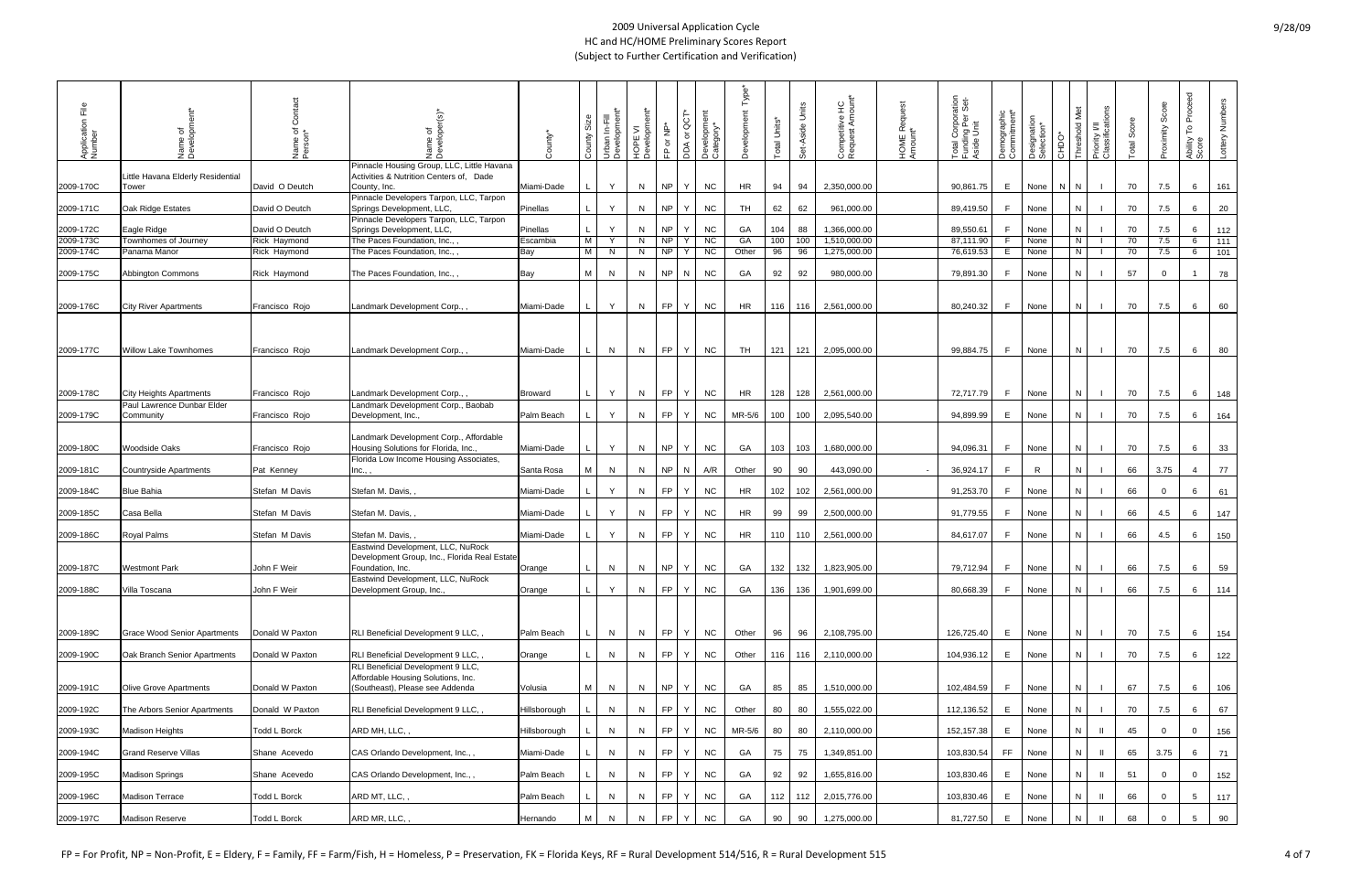| ΞÊ<br>Application<br>Number | Name of<br>Developme                      | Ō<br>Name of<br>Person* | ৳<br>ξ                                                                                                | *vinno         | Size<br>County | Urban In-Fill<br>Development* | HOPE VI<br>Development* | FP or NP* | ä<br>DDA or  | Development<br>Category* | Type <sup>'</sup><br>velopm | Total Units* | Set-Aside Units | Competitive HC<br>Request Amount* | HOME Request<br>Amount* | ation<br>Set-<br>Corpora<br>ing Per<br>a Unit<br>Total<br>Fundin<br>Aside | Demographic<br>Commitment* | Designation<br>Selection* | CHDO* | Priority I/II<br>Classifications<br>old Met | Score<br>Total | Score<br>Proximity | Proceed<br>$\mathop{\mathsf{P}}$<br>Ability<br>Score | Lottery Numbers |
|-----------------------------|-------------------------------------------|-------------------------|-------------------------------------------------------------------------------------------------------|----------------|----------------|-------------------------------|-------------------------|-----------|--------------|--------------------------|-----------------------------|--------------|-----------------|-----------------------------------|-------------------------|---------------------------------------------------------------------------|----------------------------|---------------------------|-------|---------------------------------------------|----------------|--------------------|------------------------------------------------------|-----------------|
| 2009-170C                   | ittle Havana Elderly Residential<br>Tower | David O Deutch          | Pinnacle Housing Group, LLC, Little Havana<br>Activities & Nutrition Centers of, Dade<br>County, Inc. | Miami-Dade     |                | Y.                            | N                       | <b>NP</b> | Y            | <b>NC</b>                | HR                          | 94           | 94              | 2,350,000.00                      |                         | 90,861.75                                                                 | E.                         | None                      | N N   |                                             | 70             | 7.5                | 6                                                    | 161             |
|                             |                                           |                         | Pinnacle Developers Tarpon, LLC, Tarpon                                                               |                |                |                               |                         |           |              |                          |                             |              |                 |                                   |                         |                                                                           |                            |                           |       |                                             |                |                    |                                                      |                 |
| 2009-171C                   | Oak Ridge Estates                         | David O Deutch          | Springs Development, LLC,<br>Pinnacle Developers Tarpon, LLC, Tarpon                                  | Pinellas       |                | Y                             | N.                      | <b>NP</b> | Y            | <b>NC</b>                | <b>TH</b>                   | 62           | 62              | 961,000.00                        |                         | 89,419.50                                                                 | F.                         | None                      |       |                                             | 70             | 7.5                | 6                                                    | 20              |
| 2009-172C                   | Eagle Ridge                               | David O Deutch          | Springs Development, LLC,                                                                             | Pinellas       |                | Y                             | N                       | NP        | Y            | <b>NC</b>                | GA                          | 104          | 88              | 1,366,000.00                      |                         | 89,550.61                                                                 | F.                         | None                      |       |                                             | 70             | 7.5                | 6                                                    | 112             |
| 2009-173C                   | Townhomes of Journey                      | Rick Haymond            | The Paces Foundation, Inc.,                                                                           | Escambia       | M              | Y                             | N.                      | NP        | Y            | NC                       | GA                          | 100          | 100             | 1,510,000.00                      |                         | 87,111.90                                                                 | F.                         | None                      |       | N                                           | 70             | 7.5                | 6                                                    | 111             |
| 2009-174C                   | Panama Manor                              | Rick Haymond            | The Paces Foundation, Inc.,                                                                           | Bay            | M              | N                             | N.                      | I NP      | Y            | <b>NC</b>                | Other                       | 96           | 96              | 1,275,000.00                      |                         | 76,619.53                                                                 | E.                         | None                      |       | l N<br>$\mathbf{I}$                         | 70             | 7.5                | 6                                                    | 101             |
| 2009-175C                   | <b>Abbington Commons</b>                  | Rick Haymond            | The Paces Foundation, Inc.,,                                                                          | Bay            | M I            | N                             | N.                      | NP        | N            | <b>NC</b>                | GA                          | 92           | 92              | 980,000.00                        |                         | 79,891.30                                                                 | F.                         | None                      |       | $\mathbb{N}$                                | 57             | $\mathbf 0$        |                                                      | 78              |
|                             |                                           |                         |                                                                                                       |                |                |                               |                         |           |              |                          |                             |              |                 |                                   |                         |                                                                           |                            |                           |       |                                             |                |                    |                                                      |                 |
| 2009-176C                   | <b>City River Apartments</b>              | Francisco Rojo          | Landmark Development Corp.,                                                                           | Miami-Dade     |                | Y                             | N.                      |           | FP Y         | <b>NC</b>                | HR                          | 116          | 116             | 2,561,000.00                      |                         | 80,240.32                                                                 | F.                         | None                      |       |                                             | 70             | 7.5                | 6                                                    |                 |
|                             |                                           |                         |                                                                                                       |                |                |                               |                         |           |              |                          |                             |              |                 |                                   |                         |                                                                           |                            |                           |       |                                             |                |                    |                                                      | 60              |
|                             |                                           |                         |                                                                                                       |                |                |                               |                         |           |              |                          |                             |              |                 |                                   |                         |                                                                           |                            |                           |       |                                             |                |                    |                                                      |                 |
|                             |                                           |                         |                                                                                                       |                |                |                               |                         |           |              |                          |                             |              |                 |                                   |                         |                                                                           |                            |                           |       |                                             |                |                    |                                                      |                 |
| 2009-177C                   | <b>Willow Lake Townhomes</b>              | Francisco Rojo          | Landmark Development Corp.,                                                                           | Miami-Dade     |                | N                             | N                       |           | FPIY         | <b>NC</b>                | TH                          | 121          | 121             | 2,095,000.00                      |                         | 99,884.75                                                                 | F                          | None                      |       | -N<br>- 1                                   | 70             | 7.5                | 6                                                    | 80              |
|                             |                                           |                         |                                                                                                       |                |                |                               |                         |           |              |                          |                             |              |                 |                                   |                         |                                                                           |                            |                           |       |                                             |                |                    |                                                      |                 |
|                             |                                           |                         |                                                                                                       |                |                |                               |                         |           |              |                          |                             |              |                 |                                   |                         |                                                                           |                            |                           |       |                                             |                |                    |                                                      |                 |
| 2009-178C                   | <b>City Heights Apartments</b>            | Francisco Rojo          | Landmark Development Corp.,                                                                           | <b>Broward</b> |                | Y                             | N.                      |           | FP Y         | <b>NC</b>                | HR                          | 128          | 128             | 2,561,000.00                      |                         | 72,717.79                                                                 | F.                         | None                      |       |                                             | 70             | 7.5                | 6                                                    | 148             |
| 2009-179C                   | Paul Lawrence Dunbar Elder<br>Community   | Francisco Rojo          | Landmark Development Corp., Baobab<br>Development, Inc.,                                              | Palm Beach     |                | Y.                            | N.                      | FP        | Y            | <b>NC</b>                | MR-5/6                      | 100          | 100             | 2,095,540.00                      |                         | 94,899.99                                                                 | E.                         | None                      |       |                                             | 70             | 7.5                | 6                                                    | 164             |
|                             |                                           |                         |                                                                                                       |                |                |                               |                         |           |              |                          |                             |              |                 |                                   |                         |                                                                           |                            |                           |       |                                             |                |                    |                                                      |                 |
|                             |                                           |                         | Landmark Development Corp., Affordable                                                                |                |                |                               |                         |           |              |                          |                             |              |                 |                                   |                         |                                                                           |                            |                           |       |                                             |                |                    |                                                      |                 |
| 2009-180C                   | <b>Woodside Oaks</b>                      | Francisco Rojo          | Housing Solutions for Florida, Inc.,                                                                  | Miami-Dade     |                | Y.                            | N.                      | NP        | Y            | <b>NC</b>                | GA                          | 103          | 103             | 1,680,000.00                      |                         | 94,096.31                                                                 | F.                         | None                      |       |                                             | 70             | 7.5                | 6                                                    | 33              |
| 2009-181C                   | <b>Countryside Apartments</b>             | Pat Kenney              | Florida Low Income Housing Associates,<br>Inc.,                                                       | Santa Rosa     | M              | N                             | N.                      | <b>NP</b> | N            | A/R                      | Other                       | 90           | 90              | 443,090.00                        |                         | 36,924.17                                                                 | F                          | R                         |       | N                                           | 66             | 3.75               | 4                                                    | 77              |
|                             |                                           |                         |                                                                                                       |                |                |                               |                         |           |              |                          |                             |              |                 |                                   |                         |                                                                           |                            |                           |       |                                             |                |                    |                                                      |                 |
| 2009-184C                   | <b>Blue Bahia</b>                         | Stefan M Davis          | Stefan M. Davis,                                                                                      | Miami-Dade     |                | Y                             | N.                      | FP.       | Y            | <b>NC</b>                | <b>HR</b>                   | 102          | 102             | 2,561,000.00                      |                         | 91,253.70                                                                 | F.                         | None                      |       |                                             | 66             | $\overline{0}$     | 6                                                    | 61              |
| 2009-185C                   | Casa Bella                                | Stefan M Davis          | Stefan M. Davis,                                                                                      | Miami-Dade     |                | Y                             | N.                      | FP        | Y            | <b>NC</b>                | HR                          | 99           | 99              | 2,500,000.00                      |                         | 91,779.55                                                                 | F                          | None                      |       |                                             | 66             | 4.5                | 6                                                    | 147             |
|                             |                                           |                         |                                                                                                       |                |                |                               |                         |           |              |                          |                             |              |                 |                                   |                         |                                                                           |                            |                           |       |                                             |                |                    |                                                      |                 |
| 2009-186C                   | Royal Palms                               | Stefan M Davis          | Stefan M. Davis,                                                                                      | Miami-Dade     |                | Y                             | N                       | FP.       | Y            | <b>NC</b>                | HR                          | 110          | 110             | 2,561,000.00                      |                         | 84,617.07                                                                 | F                          | None                      |       |                                             | 66             | 4.5                | 6                                                    | 150             |
|                             |                                           |                         | Eastwind Development, LLC, NuRock                                                                     |                |                |                               |                         |           |              |                          |                             |              |                 |                                   |                         |                                                                           |                            |                           |       |                                             |                |                    |                                                      |                 |
| 2009-187C                   | <b>Westmont Park</b>                      | John F Weir             | Development Group, Inc., Florida Real Estate<br>Foundation, Inc.                                      | Orange         |                | N.                            | N.                      | NP        | Y            | NC                       | GA                          | 132          | 132             | 1,823,905.00                      |                         | 79,712.94                                                                 | F.                         | None                      |       |                                             | 66             | 7.5                | 6                                                    | 59              |
|                             |                                           |                         | Eastwind Development, LLC, NuRock                                                                     |                |                |                               |                         |           |              |                          |                             |              |                 |                                   |                         |                                                                           |                            |                           |       |                                             |                |                    |                                                      |                 |
| 2009-188C                   | Villa Toscana                             | John F Weir             | Development Group, Inc.,                                                                              | Orange         | L              | Y                             | N                       |           | FP Y         | $NC$                     | GA                          | 136          | 136             | 1,901,699.00                      |                         | 80,668.39                                                                 | F                          | None                      |       | N                                           | 66             | 7.5                | 6                                                    | 114             |
|                             |                                           |                         |                                                                                                       |                |                |                               |                         |           |              |                          |                             |              |                 |                                   |                         |                                                                           |                            |                           |       |                                             |                |                    |                                                      |                 |
|                             |                                           |                         |                                                                                                       |                |                |                               |                         |           |              |                          |                             |              |                 |                                   |                         |                                                                           |                            |                           |       |                                             |                |                    |                                                      |                 |
| 2009-189C                   | <b>Grace Wood Senior Apartments</b>       | Donald W Paxton         | RLI Beneficial Development 9 LLC,                                                                     | Palm Beach     |                | N                             | N.                      |           | FP Y         | <b>NC</b>                | Other                       | 96           | 96              | 2,108,795.00                      |                         | 126,725.40                                                                | E                          | None                      |       |                                             | 70             | 7.5                | 6                                                    | 154             |
|                             |                                           |                         |                                                                                                       |                |                |                               |                         |           |              |                          |                             |              |                 |                                   |                         |                                                                           |                            |                           |       |                                             |                |                    |                                                      |                 |
| 2009-190C                   | Oak Branch Senior Apartments              | Donald W Paxton         | RLI Beneficial Development 9 LLC,<br>RLI Beneficial Development 9 LLC,                                | Orange         |                | N                             | N.                      |           | FP Y         | <b>NC</b>                | Other                       |              | 116 116         | 2,110,000.00                      |                         | 104,936.12                                                                | E                          | None                      |       |                                             | 70             | 7.5                | 6                                                    | 122             |
|                             |                                           |                         | Affordable Housing Solutions, Inc.                                                                    |                |                |                               |                         |           |              |                          |                             |              |                 |                                   |                         |                                                                           |                            |                           |       |                                             |                |                    |                                                      |                 |
| 2009-191C                   | <b>Olive Grove Apartments</b>             | Donald W Paxton         | (Southeast), Please see Addenda                                                                       | Volusia        | M              | N                             | N.                      | NP        | Y            | <b>NC</b>                | GA                          | 85           | 85              | 1,510,000.00                      |                         | 102,484.59                                                                | F.                         | None                      |       |                                             | 67             | 7.5                | 6                                                    | 106             |
|                             |                                           |                         |                                                                                                       |                |                |                               |                         |           |              |                          |                             |              |                 |                                   |                         |                                                                           |                            |                           |       |                                             |                |                    |                                                      |                 |
| 2009-192C                   | The Arbors Senior Apartments              | Donald W Paxton         | RLI Beneficial Development 9 LLC,                                                                     | Hillsborough   |                | N                             | N.                      | FP        | Y            | <b>NC</b>                | Other                       | 80           | 80              | 1,555,022.00                      |                         | 112,136.52                                                                | E                          | None                      |       |                                             | 70             | 7.5                | 6                                                    | 67              |
| 2009-193C                   | <b>Madison Heights</b>                    | Todd L Borck            | ARD MH, LLC,,                                                                                         | Hillsborough   |                | N                             | N.                      | FP        | Y            | <b>NC</b>                | MR-5/6                      | 80           | 80              | 2,110,000.00                      |                         | 152,157.38                                                                | E                          | None                      |       |                                             | 45             | $\overline{0}$     | $\overline{0}$                                       | 156             |
|                             |                                           |                         |                                                                                                       |                |                |                               |                         |           |              |                          |                             |              |                 |                                   |                         |                                                                           |                            |                           |       |                                             |                |                    |                                                      |                 |
| 2009-194C                   | <b>Grand Reserve Villas</b>               | Shane Acevedo           | CAS Orlando Development, Inc.,,                                                                       | Miami-Dade     |                | N                             | N.                      | FP        | Y            | <b>NC</b>                | GA                          | 75           | 75              | 1,349,851.00                      |                         | 103,830.54                                                                | FF.                        | None                      |       |                                             | 65             | 3.75               | 6                                                    | 71              |
| 2009-195C                   | <b>Madison Springs</b>                    | Shane Acevedo           | CAS Orlando Development, Inc.,,                                                                       | Palm Beach     |                | N                             | N.                      | FP        | $+Y$         | <b>NC</b>                | GA                          | 92           | 92              | 1,655,816.00                      |                         | 103,830.46                                                                | E                          | None                      |       |                                             | 51             | $\overline{0}$     | $\mathbf{0}$                                         | 152             |
|                             |                                           |                         |                                                                                                       |                |                |                               |                         |           |              |                          |                             |              |                 |                                   |                         |                                                                           |                            |                           |       |                                             |                |                    |                                                      |                 |
| 2009-196C                   | Madison Terrace                           | Todd L Borck            | ARD MT, LLC,                                                                                          | Palm Beach     |                | N                             | N.                      | FP        | $\mathsf{Y}$ | <b>NC</b>                | GA                          | 112          | 112             | 2,015,776.00                      |                         | 103,830.46                                                                | E                          | None                      |       |                                             | 66             | $\overline{0}$     | 5 <sub>5</sub>                                       | 117             |
| 2009-197C                   | <b>Madison Reserve</b>                    | Todd L Borck            | ARD MR, LLC,,                                                                                         | Hernando       | M I            | N                             | N.                      | <b>FP</b> | Y            | <b>NC</b>                | GA                          | 90           | 90              | 1,275,000.00                      |                         | 81,727.50                                                                 | E                          | None                      |       |                                             | 68             | $\Omega$           | 5 <sup>5</sup>                                       | 90              |
|                             |                                           |                         |                                                                                                       |                |                |                               |                         |           |              |                          |                             |              |                 |                                   |                         |                                                                           |                            |                           |       |                                             |                |                    |                                                      |                 |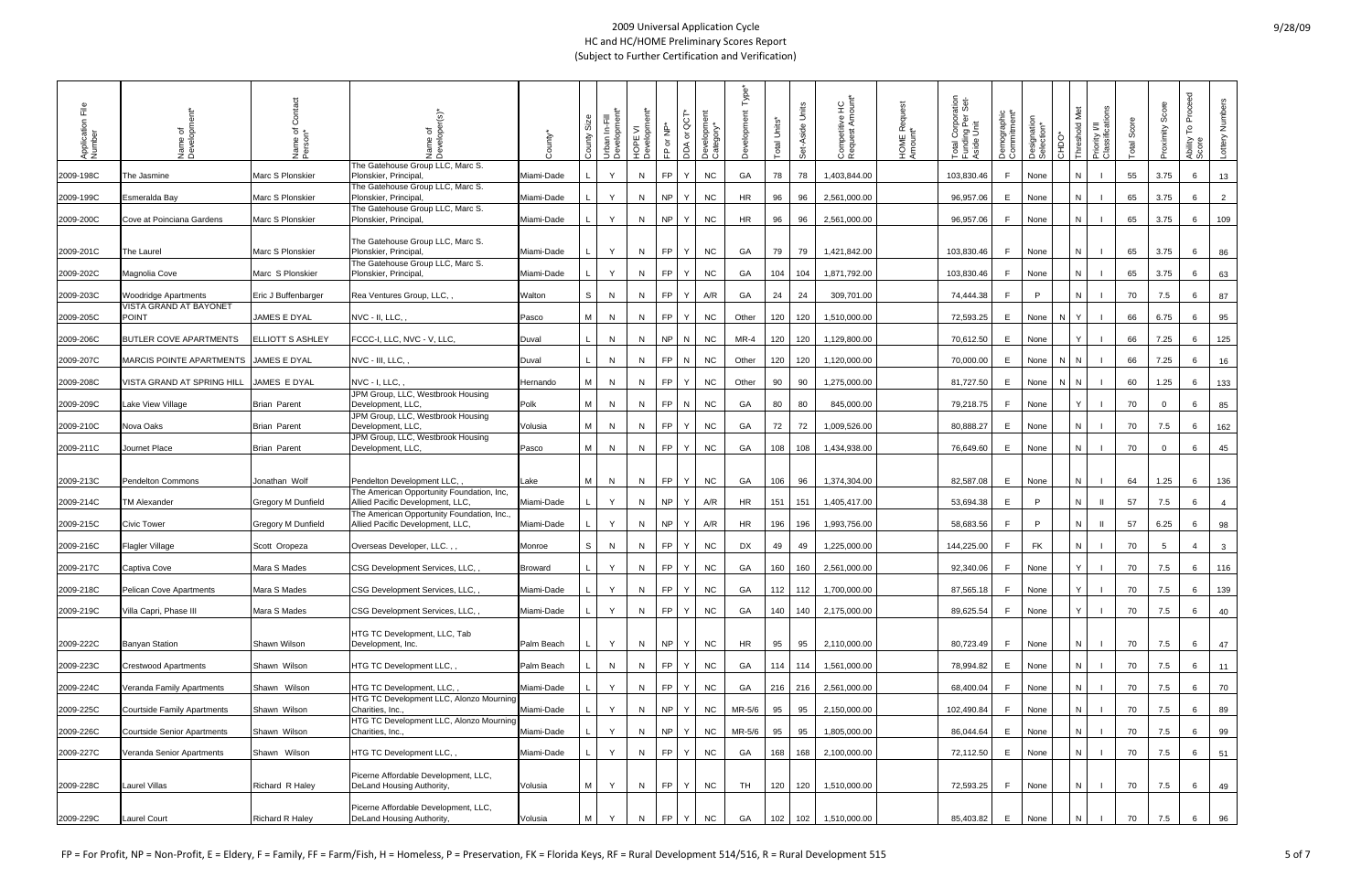| ΕĒ<br>Application<br>Number | Name of<br>Developr                   | Name of<br>Person*        | ৳<br>Name                                                                      | County*        | ō,<br>County | Urban In-Fill<br>Development <sup>*</sup> | HOPE VI<br>Development* | FP or NP* | ä<br>১<br>DDA        | Development<br>Category* | $Type^*$<br>elopment | Total Units* | Set-Aside Units | Competitive HC<br>Request Amount* | HOME Request<br>Amount* | ation<br>Set-<br>Total Corpora<br>Funding Per :<br>Aside Unit | Demographic<br>Commitment* | Designation<br>Selection* | CHDO* | Priority I/II<br>Classifications<br>old Met | Score<br>Total | Score<br>Proximity | ිල<br>ල<br>Proce<br>$\mathsf{L}^{\circ}$<br>Ability<br>Score | Lottery Numbers |
|-----------------------------|---------------------------------------|---------------------------|--------------------------------------------------------------------------------|----------------|--------------|-------------------------------------------|-------------------------|-----------|----------------------|--------------------------|----------------------|--------------|-----------------|-----------------------------------|-------------------------|---------------------------------------------------------------|----------------------------|---------------------------|-------|---------------------------------------------|----------------|--------------------|--------------------------------------------------------------|-----------------|
| 2009-198C                   | The Jasmine                           | Marc S Plonskier          | The Gatehouse Group LLC, Marc S.<br>Plonskier, Principal,                      | Miami-Dade     |              | $\vee$                                    | N                       | <b>FP</b> | Y                    | <b>NC</b>                | GA                   | 78           | 78              | 1,403,844.00                      |                         | 103,830.46                                                    | F.                         | None                      |       |                                             | 55             | 3.75               | 6                                                            | 13              |
| 2009-199C                   | Esmeralda Bay                         | Marc S Plonskier          | The Gatehouse Group LLC, Marc S.<br>Plonskier, Principal,                      | Miami-Dade     |              | Y                                         | N                       | NP        | Y                    | <b>NC</b>                | <b>HR</b>            | 96           | 96              | 2,561,000.00                      |                         | 96,957.06                                                     | E.                         | None                      |       |                                             | 65             | 3.75               | 6                                                            | $\overline{2}$  |
| 2009-200C                   | Cove at Poinciana Gardens             | Marc S Plonskier          | The Gatehouse Group LLC, Marc S.<br>Plonskier, Principal,                      | Miami-Dade     |              | Y                                         | N                       | NP        | Y                    | <b>NC</b>                | <b>HR</b>            | 96           | 96              | 2,561,000.00                      |                         | 96,957.06                                                     | F.                         | None                      |       |                                             | 65             | 3.75               | 6                                                            | 109             |
| 2009-201C                   | The Laurel                            | Marc S Plonskier          | The Gatehouse Group LLC, Marc S.<br>Plonskier, Principal,                      | Miami-Dade     |              | Y                                         | N                       |           | FP Y                 | <b>NC</b>                | GA                   | 79           | 79              | 1,421,842.00                      |                         | 103,830.46                                                    | F                          | None                      |       |                                             | 65             | 3.75               | 6                                                            | 86              |
| 2009-202C                   | Magnolia Cove                         | Marc S Plonskier          | The Gatehouse Group LLC, Marc S.<br>Plonskier, Principal,                      | Miami-Dade     |              | Y                                         | N                       | FP        | Y                    | <b>NC</b>                | GA                   | 104          | 104             | 1,871,792.00                      |                         | 103,830.46                                                    | F                          | None                      |       |                                             | 65             | 3.75               | 6                                                            | 63              |
| 2009-203C                   | <b>Woodridge Apartments</b>           | Eric J Buffenbarger       | Rea Ventures Group, LLC,                                                       | Walton         | S            | N                                         | N                       | <b>FP</b> | Y                    | A/R                      | GA                   | 24           | 24              | 309,701.00                        |                         | 74,444.38                                                     | F                          | P.                        |       | N                                           | 70             | 7.5                | 6                                                            | 87              |
| 2009-205C                   | VISTA GRAND AT BAYONET<br>POINT       | JAMES E DYAL              | NVC - II, LLC, ,                                                               | Pasco          | M            | N                                         | N                       | <b>FP</b> | Y                    | <b>NC</b>                | Other                | 120          | 120             | 1,510,000.00                      |                         | 72,593.25                                                     | E.                         | None                      | N     |                                             | 66             | 6.75               | 6                                                            | 95              |
| 2009-206C                   | <b>BUTLER COVE APARTMENTS</b>         | ELLIOTT S ASHLEY          | FCCC-I, LLC, NVC - V, LLC,                                                     | Duval          |              | N                                         | N                       | NP        | N                    | <b>NC</b>                | MR-4                 | 120          | 120             | 1,129,800.00                      |                         | 70,612.50                                                     | E                          | None                      |       |                                             | 66             | 7.25               | 6                                                            | 125             |
| 2009-207C                   | MARCIS POINTE APARTMENTS JAMES E DYAL |                           | NVC - III, LLC,                                                                | Duval          |              | N                                         | N                       |           | FP N                 | <b>NC</b>                | Other                | 120          | 120             | 1,120,000.00                      |                         | 70,000.00                                                     | E                          | None                      | N     |                                             | 66             | 7.25               | 6                                                            | 16              |
| 2009-208C                   | VISTA GRAND AT SPRING HILL            | JAMES E DYAL              | NVC - I, LLC,                                                                  | Hernando       | M            | N                                         | N.                      | FP        | Y                    | <b>NC</b>                | Other                | 90           | 90              | 1,275,000.00                      |                         | 81,727.50                                                     | E                          | None                      | N N   |                                             | 60             | 1.25               | 6                                                            | 133             |
| 2009-209C                   | ake View Village                      | <b>Brian Parent</b>       | JPM Group, LLC, Westbrook Housing<br>Development, LLC,                         | Polk           | M            | N                                         | N.                      | <b>FP</b> | $\mathsf{N}$         | <b>NC</b>                | GA                   | 80           | 80              | 845,000.00                        |                         | 79,218.75                                                     | F                          | None                      |       |                                             | 70             | $\overline{0}$     | 6                                                            | 85              |
| 2009-210C                   | Nova Oaks                             | <b>Brian Parent</b>       | JPM Group, LLC, Westbrook Housing<br>Development, LLC,                         | Volusia        | M            | N                                         | N.                      | <b>FP</b> | Y                    | <b>NC</b>                | GA                   | 72           | 72              | 1,009,526.00                      |                         | 80,888.27                                                     | E                          | None                      |       |                                             | 70             | 7.5                | 6                                                            | 162             |
| 2009-211C                   | Journet Place                         | <b>Brian Parent</b>       | JPM Group, LLC, Westbrook Housing<br>Development, LLC,                         | Pasco          | M            | N                                         | N                       | <b>FP</b> | Y                    | <b>NC</b>                | GA                   | 108          | 108             | 1,434,938.00                      |                         | 76,649.60                                                     | E                          | None                      |       |                                             | 70             | $\overline{0}$     | 6                                                            | 45              |
| 2009-213C                   | <b>Pendelton Commons</b>              | Jonathan Wolf             | Pendelton Development LLC,                                                     | Lake           | M            | N                                         | N.                      |           | FP Y                 | <b>NC</b>                | GA                   | 106          | 96              | 1,374,304.00                      |                         | 82,587.08                                                     | E                          | None                      |       |                                             | 64             | 1.25               | 6                                                            | 136             |
| 2009-214C                   | <b>TM Alexander</b>                   | <b>Gregory M Dunfield</b> | The American Opportunity Foundation, Inc,<br>Allied Pacific Development, LLC,  | Miami-Dade     |              | Y                                         | N                       | NP        | $Y^*$                | A/R                      | HR                   | 151          | 151             | 1,405,417.00                      |                         | 53,694.38                                                     | E                          | P.                        |       |                                             | 57             | 7.5                | 6                                                            | $\overline{4}$  |
| 2009-215C                   | <b>Civic Tower</b>                    | <b>Gregory M Dunfield</b> | The American Opportunity Foundation, Inc.,<br>Allied Pacific Development, LLC, | Miami-Dade     |              | Y                                         | N                       | NP        | Y                    | A/R                      | HR                   | 196          | 196             | 1,993,756.00                      |                         | 58,683.56                                                     | F                          | P                         |       |                                             | 57             | 6.25               | 6                                                            | 98              |
| 2009-216C                   | <b>Flagler Village</b>                | Scott Oropeza             | Overseas Developer, LLC.,,                                                     | Monroe         | S            | N                                         | N                       | FP        | Y                    | <b>NC</b>                | DX                   | 49           | 49              | 1,225,000.00                      |                         | 144,225.00                                                    | F                          | FK                        |       |                                             | 70             | $5\overline{5}$    | $\overline{4}$                                               | $\mathbf{3}$    |
| 2009-217C                   | Captiva Cove                          | Mara S Mades              | CSG Development Services, LLC,                                                 | <b>Broward</b> |              | Y                                         | N                       | FP.       | Y                    | <b>NC</b>                | GA                   | 160          | 160             | 2,561,000.00                      |                         | 92,340.06                                                     | F                          | None                      |       |                                             | 70             | 7.5                | 6                                                            | 116             |
| 2009-218C                   | <b>Pelican Cove Apartments</b>        | Mara S Mades              | CSG Development Services, LLC, ,                                               | Miami-Dade     |              | Y                                         | N                       | FP Y      |                      | <b>NC</b>                | GA                   |              | 112 112         | 1,700,000.00                      |                         | 87,565.18                                                     | F.                         | None                      |       | <sup>Y</sup>                                | 70             | 7.5                | 6                                                            | 139             |
| 2009-219C                   | Villa Capri, Phase III                | Mara S Mades              | CSG Development Services, LLC,                                                 | Miami-Dade     |              |                                           | N.                      | FP        | $\cdot$ Y $^{\circ}$ | <b>NC</b>                | GA                   | 140          | 140             | 2,175,000.00                      |                         | 89,625.54                                                     | F                          | None                      |       |                                             | 70             | 7.5                | 6                                                            | 40              |
| 2009-222C                   | <b>Banyan Station</b>                 | Shawn Wilson              | HTG TC Development, LLC, Tab<br>Development, Inc.                              | Palm Beach     |              | Y                                         | N.                      |           | NP Y                 | <b>NC</b>                | HR                   | 95           | 95              | 2,110,000.00                      |                         | 80,723.49                                                     | F.                         | None                      |       | <sup>N</sup>                                | 70             | 7.5                | 6                                                            | 47              |
| 2009-223C                   | <b>Crestwood Apartments</b>           | Shawn Wilson              | HTG TC Development LLC,                                                        | Palm Beach     |              | N                                         | N.                      | FP        | Y                    | <b>NC</b>                | GA                   |              | 114 114         | 1,561,000.00                      |                         | 78,994.82                                                     | E                          | None                      |       |                                             | 70             | 7.5                | 6                                                            | 11              |
| 2009-224C                   | Veranda Family Apartments             | Shawn Wilson              | HTG TC Development, LLC,,                                                      | Miami-Dade     |              | Y                                         | N                       |           | FP Y                 | <b>NC</b>                | GA                   |              | 216 216         | 2,561,000.00                      |                         | 68,400.04                                                     | F                          | None                      |       |                                             | 70             | 7.5                | 6                                                            | 70              |
| 2009-225C                   | <b>Courtside Family Apartments</b>    | Shawn Wilson              | HTG TC Development LLC, Alonzo Mourning<br>Charities, Inc.,                    | Miami-Dade     |              | Y                                         | N.                      | NP        | Y                    | <b>NC</b>                | MR-5/6               | 95           | 95              | 2,150,000.00                      |                         | 102,490.84                                                    | F.                         | None                      |       |                                             | 70             | 7.5                | 6                                                            | 89              |
| 2009-226C                   | <b>Courtside Senior Apartments</b>    | Shawn Wilson              | HTG TC Development LLC, Alonzo Mourning<br>Charities, Inc.,                    | Miami-Dade     |              | Y                                         | N                       |           | NP Y                 | <b>NC</b>                | MR-5/6               | 95           | 95              | 1,805,000.00                      |                         | 86,044.64                                                     | E                          | None                      |       |                                             | 70             | 7.5                | 6                                                            | 99              |
| 2009-227C                   | Veranda Senior Apartments             | Shawn Wilson              | HTG TC Development LLC,,                                                       | Miami-Dade     |              | Y                                         | N.                      | FP        | Y                    | <b>NC</b>                | GA                   | 168          | 168             | 2,100,000.00                      |                         | 72,112.50                                                     | E                          | None                      |       | N                                           | 70             | 7.5                | 6                                                            | 51              |
| 2009-228C                   | <b>Laurel Villas</b>                  | Richard R Haley           | Picerne Affordable Development, LLC,<br>DeLand Housing Authority,              | Volusia        | M            | Y                                         | N                       |           | FP Y                 | <b>NC</b>                | TH                   | 120          | 120             | 1,510,000.00                      |                         | 72,593.25                                                     | F.                         | None                      |       |                                             | 70             | 7.5                | 6                                                            | 49              |
| 2009-229C                   | <b>Laurel Court</b>                   | <b>Richard R Haley</b>    | Picerne Affordable Development, LLC,<br>DeLand Housing Authority,              | Volusia        | M            |                                           | N                       | <b>FP</b> | Y                    | <b>NC</b>                | GA                   | 102          | 102             | 1,510,000.00                      |                         | 85,403.82                                                     | E                          | None                      |       |                                             | 70             | 7.5                | 6                                                            | 96              |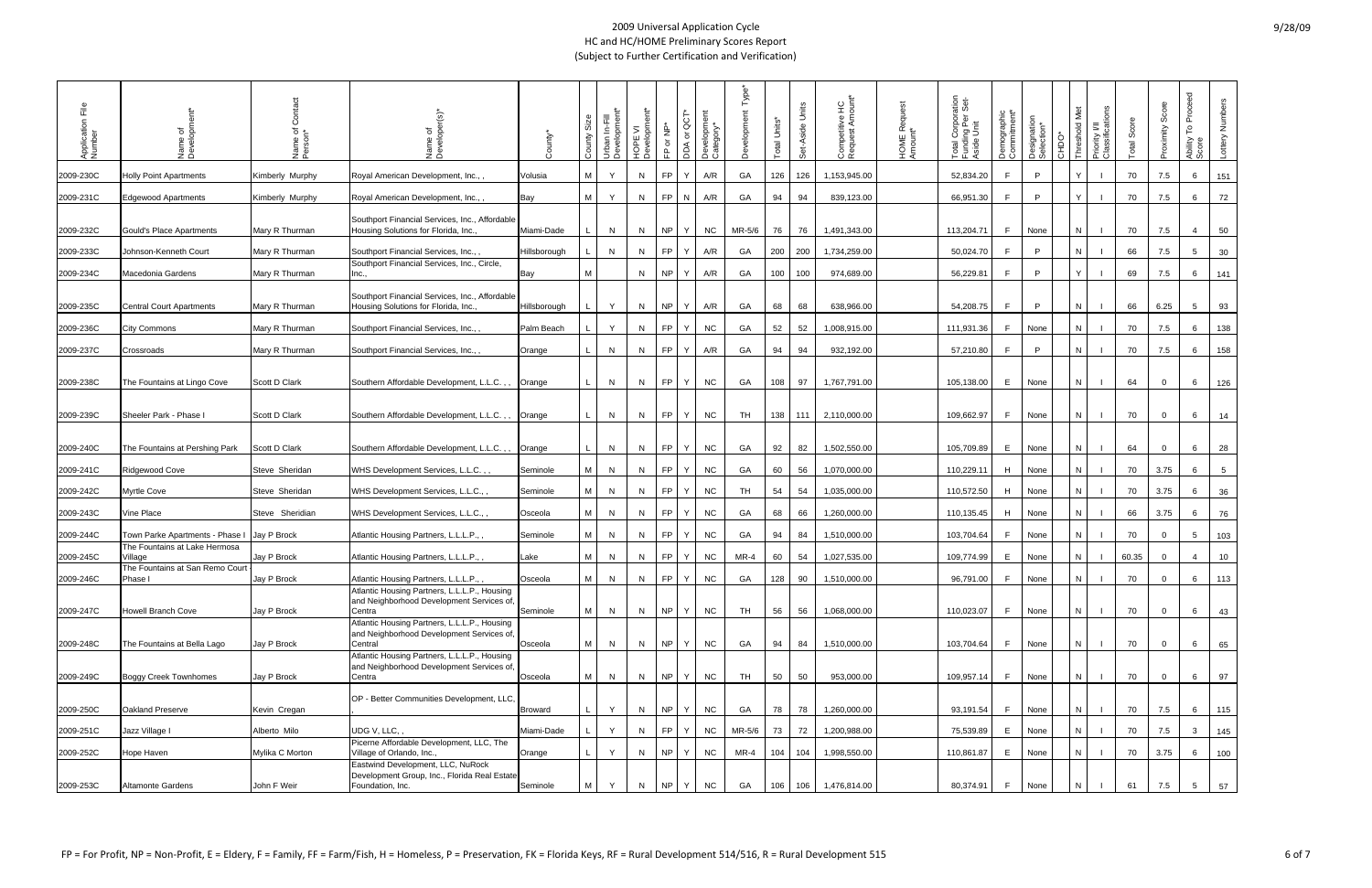| Ξe<br>Application<br>Number | Name of<br>Developme                        | Name of<br>Person* | ঁত<br><b>Jame</b><br>Devel                                                                                                                           | County*        | Size<br>County | Urban In-Fill<br>Development | Development<br>$\geq$<br><b>IOPE</b> | FP or NP* | ပ္ပ<br>DDA or | Development<br>Category* |           | Total Units* | Units<br>Set-Aside | Competitive HC<br>Request Amount* | HOME Request<br>Amount* | ation<br>Set-<br>Total Corpora<br>Funding Per :<br>Aside Unit | Demographic<br>Commitment* | Designation<br>Selection* | OCHC | Priority I/II<br>Classifications<br>ž<br>$\overline{d}$ | otal Score | Score<br>Proximity | Proceed<br>۴<br>Ability<br>Score | Lottery Numbers |
|-----------------------------|---------------------------------------------|--------------------|------------------------------------------------------------------------------------------------------------------------------------------------------|----------------|----------------|------------------------------|--------------------------------------|-----------|---------------|--------------------------|-----------|--------------|--------------------|-----------------------------------|-------------------------|---------------------------------------------------------------|----------------------------|---------------------------|------|---------------------------------------------------------|------------|--------------------|----------------------------------|-----------------|
| 2009-230C                   | <b>Holly Point Apartments</b>               | Kimberly Murphy    | Royal American Development, Inc.,,                                                                                                                   | Volusia        | M              | Y                            | N                                    | FP.       | Υ             | A/R                      | GA        | 126          | 126                | 1,153,945.00                      |                         | 52,834.20                                                     | F                          | P                         |      |                                                         | 70         | 7.5                | 6                                | 151             |
| 2009-231C                   | <b>Edgewood Apartments</b>                  | Kimberly Murphy    | Royal American Development, Inc.,,                                                                                                                   | Bay            | M              | Y                            | N                                    | FP.       | N             | A/R                      | GA        | 94           | 94                 | 839,123.00                        |                         | 66,951.30                                                     | F                          | P                         |      |                                                         | 70         | 7.5                | 6                                | 72              |
| 2009-232C                   | Gould's Place Apartments                    | Mary R Thurman     | Southport Financial Services, Inc., Affordable<br>Housing Solutions for Florida, Inc.,                                                               | Miami-Dade     |                | N                            | N                                    | NP.       | Y.            | <b>NC</b>                | $MR-5/6$  | 76           | 76                 | 1,491,343.00                      |                         | 113,204.71                                                    | F.                         | None                      |      |                                                         | 70         | 7.5                | $\overline{4}$                   | 50              |
| 2009-233C                   | Johnson-Kenneth Court                       | Mary R Thurman     | Southport Financial Services, Inc.,                                                                                                                  | Hillsborough   |                | N                            | N.                                   | FP.       | Y             | A/R                      | GA        | 200          | 200                | 1,734,259.00                      |                         | 50,024.70                                                     | F.                         | P                         |      |                                                         | 66         | 7.5                | 5 <sup>5</sup>                   | 30              |
| 2009-234C                   | Macedonia Gardens                           | Mary R Thurman     | Southport Financial Services, Inc., Circle,                                                                                                          | Bay            | М              |                              | N                                    | <b>NP</b> | Y             | A/R                      | GA        | 100          | 100                | 974,689.00                        |                         | 56,229.81                                                     | F.                         | P                         |      |                                                         | 69         | 7.5                | 6                                | 141             |
| 2009-235C                   | <b>Central Court Apartments</b>             | Mary R Thurman     | Southport Financial Services, Inc., Affordable<br>Housing Solutions for Florida, Inc.,                                                               | Hillsborough   |                | Y                            | N                                    | NP.       | Y.            | A/R                      | GA        | 68           | 68                 | 638,966.00                        |                         | 54,208.75                                                     | F.                         | P                         |      |                                                         | 66         | 6.25               | 5 <sup>5</sup>                   | 93              |
| 2009-236C                   | City Commons                                | Mary R Thurman     | Southport Financial Services, Inc.,                                                                                                                  | Palm Beach     |                | Y                            | N                                    | FP.       | Y             | <b>NC</b>                | GA        | 52           | 52                 | 1,008,915.00                      |                         | 111,931.36                                                    | F.                         | None                      |      | N                                                       | 70         | 7.5                | 6                                | 138             |
| 2009-237C                   | Crossroads                                  | Mary R Thurman     | Southport Financial Services, Inc.,                                                                                                                  | Orange         |                | N                            | N                                    | FP        | Y             | A/R                      | GA        | 94           | 94                 | 932,192.00                        |                         | 57,210.80                                                     | F                          | P                         |      | N                                                       | 70         | 7.5                | 6                                | 158             |
| 2009-238C                   | The Fountains at Lingo Cove                 | Scott D Clark      | Southern Affordable Development, L.L.C.,                                                                                                             | Orange         |                | N                            | N                                    | <b>FP</b> | Y             | <b>NC</b>                | GA        | 108          | 97                 | 1,767,791.00                      |                         | 105,138.00                                                    | E                          | None                      |      | N.                                                      | 64         | $\mathbf 0$        | 6                                | 126             |
| 2009-239C                   | Sheeler Park - Phase                        | Scott D Clark      | Southern Affordable Development, L.L.C.,,                                                                                                            | Orange         |                | N                            | N                                    | <b>FP</b> | Y             | <b>NC</b>                | TH        | 138          | 111                | 2,110,000.00                      |                         | 109,662.97                                                    | F.                         | None                      |      | N                                                       | 70         | $\overline{0}$     | 6                                | 14              |
| 2009-240C                   | The Fountains at Pershing Park              | Scott D Clark      | Southern Affordable Development, L.L.C.,,                                                                                                            | Orange         |                | N                            | N                                    | <b>FP</b> | Y             | <b>NC</b>                | GA        | 92           | 82                 | 1,502,550.00                      |                         | 105,709.89                                                    | E                          | None                      |      | N                                                       | 64         | $\overline{0}$     | 6                                | 28              |
| 2009-241C                   | <b>Ridgewood Cove</b>                       | Steve Sheridan     | WHS Development Services, L.L.C.,,                                                                                                                   | Seminole       | M              | N                            | N                                    | FP        | Y             | <b>NC</b>                | GA        | 60           | 56                 | 1,070,000.00                      |                         | 110,229.11                                                    | H                          | None                      |      |                                                         | 70         | 3.75               | 6                                | $5\overline{)}$ |
| 2009-242C                   | <b>Myrtle Cove</b>                          | Steve Sheridan     | WHS Development Services, L.L.C.,                                                                                                                    | Seminole       | M              | N                            | N.                                   | FP.       | Y             | <b>NC</b>                | TH        | 54           | 54                 | 1,035,000.00                      |                         | 110,572.50                                                    | H                          | None                      |      | N                                                       | 70         | 3.75               | 6                                | 36              |
| 2009-243C                   | Vine Place                                  | Steve Sheridian    | WHS Development Services, L.L.C.,,                                                                                                                   | Osceola        | M I            | N                            | N                                    | <b>FP</b> | Y             | <b>NC</b>                | GA        | 68           | 66                 | 1,260,000.00                      |                         | 110,135.45                                                    | H                          | None                      |      | N                                                       | 66         | 3.75               | 6                                | 76              |
| 2009-244C                   | Town Parke Apartments - Phase I Jay P Brock |                    | Atlantic Housing Partners, L.L.L.P.,,                                                                                                                | Seminole       | M              | N                            | N.                                   | FP.       | Y             | <b>NC</b>                | GA        | 94           | 84                 | 1,510,000.00                      |                         | 103,704.64                                                    | F.                         | None                      |      | N                                                       | 70         | $\overline{0}$     | 5 <sup>5</sup>                   | 103             |
| 2009-245C                   | The Fountains at Lake Hermosa<br>√illaqe    | Jay P Brock        | Atlantic Housing Partners, L.L.L.P.,,                                                                                                                | Lake           | M I            | N                            | N                                    | <b>FP</b> | Y             | <b>NC</b>                | $MR-4$    | 60           | 54                 | 1,027,535.00                      |                         | 109,774.99                                                    | E.                         | None                      |      | N                                                       | 60.35      | $\mathbf 0$        | 4                                | 10              |
| 2009-246C                   | The Fountains at San Remo Court<br>Phase I  | Jay P Brock        | Atlantic Housing Partners, L.L.L.P.,                                                                                                                 | Osceola        | M I            | N                            | N                                    | <b>FP</b> | Y             | <b>NC</b>                | GA        | 128          | 90                 | 1,510,000.00                      |                         | 96,791.00                                                     | F.                         | None                      |      | N.                                                      | 70         | $\mathbf 0$        | 6                                | 113             |
| 2009-247C                   | <b>Howell Branch Cove</b>                   | Jay P Brock        | Atlantic Housing Partners, L.L.L.P., Housing<br>and Neighborhood Development Services of,<br>Centra                                                  | Seminole       | M              | N                            | N                                    | NP        | Y             | <b>NC</b>                | TH        | 56           | 56                 | 1,068,000.00                      |                         | 110,023.07                                                    | F                          | None                      |      | N.                                                      | 70         | $\overline{0}$     | 6                                | 43              |
| 2009-248C                   | The Fountains at Bella Lago                 | Jay P Brock        | Atlantic Housing Partners, L.L.L.P., Housing<br>and Neighborhood Development Services of,<br>Central<br>Atlantic Housing Partners, L.L.L.P., Housing | Osceola        | M              | N                            | N                                    | <b>NP</b> | Y             | <b>NC</b>                | GA        | 94           | 84                 | 1,510,000.00                      |                         | 103,704.64                                                    | F                          | None                      |      | N                                                       | 70         | $\overline{0}$     | 6                                | 65              |
| 2009-249C                   | <b>Boggy Creek Townhomes</b>                | Jay P Brock        | and Neighborhood Development Services of,<br>Centra                                                                                                  | Osceola        | M              | N                            | N                                    | <b>NP</b> | Y             | <b>NC</b>                | <b>TH</b> | 50           | 50                 | 953,000.00                        |                         | 109,957.14                                                    | F                          | None                      |      | N                                                       | 70         | $\overline{0}$     | 6                                | 97              |
| 2009-250C                   | Oakland Preserve                            | Kevin Cregan       | OP - Better Communities Development, LLC,                                                                                                            | <b>Broward</b> |                | Y                            | N                                    | <b>NP</b> | Y             | <b>NC</b>                | GA        | 78           | 78                 | 1,260,000.00                      |                         | 93,191.54                                                     | F                          | None                      |      | N                                                       | 70         | 7.5                | 6                                | 115             |
| 2009-251C                   | Jazz Village I                              | Alberto Milo       | UDG V, LLC, ,                                                                                                                                        | Miami-Dade     |                | Y                            | N                                    | FP        | Y             | <b>NC</b>                | MR-5/6    | 73           | 72                 | 1,200,988.00                      |                         | 75,539.89                                                     | $\mathsf{E}$               | None                      |      |                                                         | 70         | 7.5                | 3 <sup>1</sup>                   | 145             |
| 2009-252C                   | Hope Haven                                  | Mylika C Morton    | Picerne Affordable Development, LLC, The<br>Village of Orlando, Inc.,<br>Eastwind Development, LLC, NuRock                                           | Orange         |                | Y                            | N                                    | <b>NP</b> | Y             | <b>NC</b>                | $MR-4$    | 104          | 104                | 1,998,550.00                      |                         | 110,861.87                                                    | $\mathsf{E}$               | None                      |      |                                                         | 70         | 3.75               | 6                                | 100             |
| 2009-253C                   | <b>Altamonte Gardens</b>                    | John F Weir        | Development Group, Inc., Florida Real Estate<br>Foundation, Inc.                                                                                     | Seminole       | M              | Y                            | N                                    | <b>NP</b> | Y             | <b>NC</b>                | GA        | 106          | 106                | 1,476,814.00                      |                         | 80,374.91                                                     | F.                         | None                      |      |                                                         | 61         | 7.5                | 5 <sup>5</sup>                   | 57              |